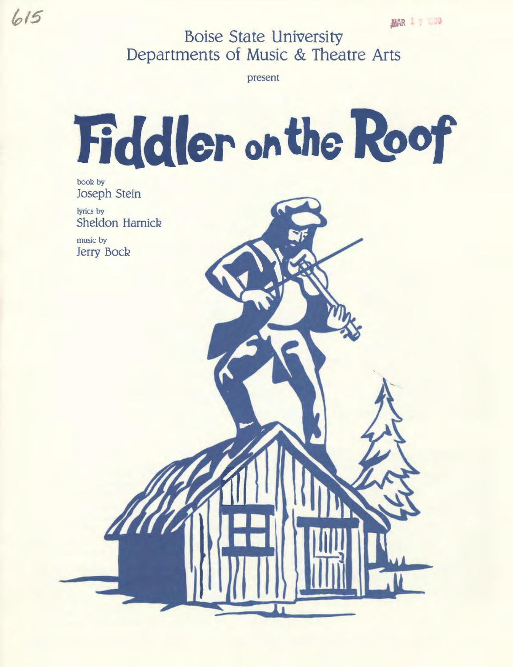**Boise State University Departments of Music & Theatre Arts** 

present

# Fiddler on the Roof

booR by Joseph Stein

lyrics by Sheldon Harnick

music by **Jerry Bock** 



 $615$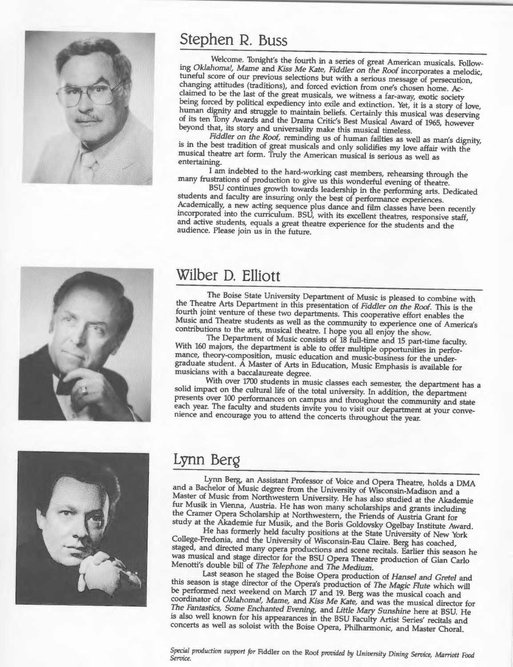

## **Stephen R. Buss**

Welcome. Tonight's the fourth in a series of great American musicals. Following *Oklahoma!, Mame* and *Kiss Me Kate, Fiddler on the Roof* incorporates a melodic, tuneful score of our previous selections but with a serious message of persecution, changing attitudes (traditions), and forced eviction from one's chosen home. Acclaimed to be the last of the great musicals, we witness a far-away, exotic society being forced by political expediency into exile and extinction. Yet, it is a story of love, human dignity and struggle to maintain beliefs. Certainly this musical was deserving of its ten Tony Awards and the Drama Critic's Best Musical Award of 1965, however beyond that, its story and universality make this musical timeless.

*Fiddler on the Roof,* reminding us of human failties as well as man's dignity, is in the best tradition of great musicals and only solidifies my love affair with the musical theatre art form. Truly the American musical is serious as well as entertaining.

<sup>I</sup>am indebted to the hard-working cast members, rehearsing through the many frustrations of production to give us this wonderful evening of theatre.

BSU continues growth towards leadership in the performing arts. Dedicated students and faculty are insuring only the best of performance experiences. Academically, a new acting sequence plus dance and film classes have been recently incorporated into the curriculum. BSU, with its excellent theatres, responsive staff, and active students, equals a great theatre experience for the students and the audience. Please join us in the future.



## **Wilber D. Elliott**

The Boise State University Department of Music is pleased to combine with the Theatre Arts Department in this presentation of *Fiddler on the Roof.* This is the Music and Theatre students as well as the community to experience one of America's fourth joint venture of these two departments. This cooperative effort enables the contributions to the arts, musical theatre. I hope you all enjoy the show.

The Department of Music consists of 18 full-time and 15 part-time faculty. With 160 majors, the department is able to offer multiple opportunities in performance, theory-composition, music education and music-business for the undergraduate student. A Master of Arts in Education, Music Emphasis is available for musicians with a baccalaureate degree.

With over 1700 students in music classes each semester, the department has <sup>a</sup> solid impact on the cultural life of the total university. In addition, the department presents over 100 performances on campus and throughout the community and state each year. The faculty and students invite you to visit our department at your convenience and encourage you to attend the concerts throughout the year.



## **Lynn BerQ**

Lynn Berg, an Assistant Professor of Voice and Opera Theatre, holds a DMA Master of Music from Northwestern University. He has also studied at the Akademie and a Bachelor of Music degree from the University of Wisconsin-Madison and <sup>a</sup> fur Musik in Vienna, Austria. He has won many scholarships and grants including the Cramer Opera Scholarship at Northwestern, the Friends of Austria Grant for study at the Akademie fur Musik, and the Boris Goldovsky Ogelbay Institute Award.

He has formerly held faculty positions at the State University of New York College-Fredonia, and the University of Wisconsin-Eau Claire. Berg has coached, staged, and directed many opera productions and scene recitals. Earlier this season he was musical and stage director for the BSU Opera Theatre production of Gian Carlo Menotti's double bill of The *Telephone* and The *Medium.* 

Last season he staged the Boise Opera production of *Hansel* and *Gretel* and this season is stage director of the Opera's production of The *Magic Flute* which will be performed next weekend on March 17 and 19. Berg was the musical coach and coordinator of *Oklahoma!, Mame,* and *Kiss Me Kate,* and was the musical director for The *Fantastics, Some Enchanted Evening,* and *Little Mary Sunshine* here at BSU. He is also well known for his appearances in the BSU Faculty Artist Series' recitals and concerts as well as soloist with the Boise Opera, Philharmonic, and Master Choral.

*Special production support for* Fiddler on the Roof *provided by University Dining Service, Marriott Food Service.*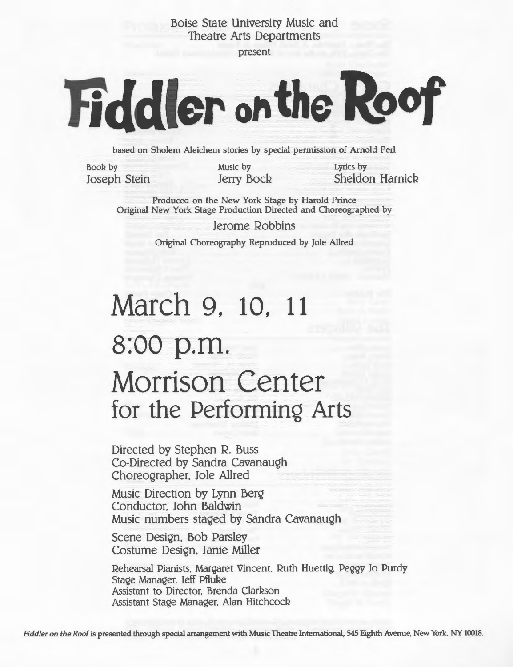Boise State University Music and Theatre Arts Departments

present

# Fiddler on the Roof

based on Sholem Aleichem stories by special permission of Arnold Perl

Book by Joseph Stein Music by Jerry Bock Lyrics by Sheldon Harnick

Produced on the New York Stage by Harold Prince Original New York Stage Production Directed and Choreographed by

> Jerome Robbins Original Choreography Reproduced by Jole Allred

## **March 9, 10, 11 s:oo** p.m. **Morrison Center for the PerforminQ Arts**

Directed by Stephen R. Buss Co-Directed by Sandra Cavanaugh Choreographer. Jole Allred

Music Direction by Lynn Berg Conductor. John Baldwin Music numbers staged by Sandra Cavanaugh

Scene Design, Bob Parsley Costume Design, Janie Miller

Rehearsal Pianists. Margaret Vincent. Ruth Huettig, Peggy Jo Purdy Stage Manager, Jeff Pfluke Assistant to Director, Brenda Clarkson Assistant Stage Manager. Alan HitchcocR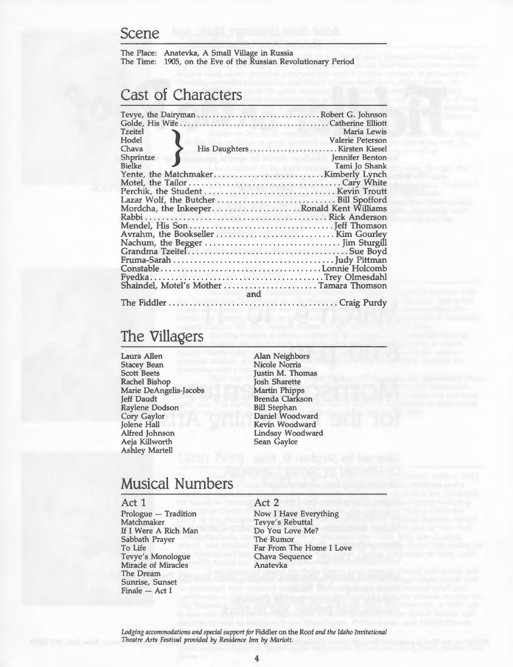#### **Scene**

The Place: Anatevka, A Small Village in Russia The Time: 1905, on the Eve of the Russian Revolutionary Period

## **Cast of Characters**

| <b>Tzeitel</b>                            | Maria Lewis                                        |
|-------------------------------------------|----------------------------------------------------|
| Hodel                                     | Valerie Peterson                                   |
| Chava                                     |                                                    |
| Shprintze                                 | <b>Excession Services Services</b> Jennifer Benton |
|                                           |                                                    |
|                                           |                                                    |
|                                           |                                                    |
|                                           |                                                    |
|                                           |                                                    |
| Mordcha, the InkeeperRonald Kent Williams |                                                    |
|                                           |                                                    |
|                                           |                                                    |
|                                           |                                                    |
|                                           |                                                    |
|                                           |                                                    |
|                                           |                                                    |
|                                           |                                                    |
|                                           |                                                    |
|                                           |                                                    |
| and                                       |                                                    |
|                                           |                                                    |

## **The Villagers**

- Laura Allen Stacey Bean Scott Beets Rachel Bishop Marie DeAngelis-Jacobs Jeff Daudt Raylene Dodson Cory Gaylor Jolene Hall Alfred Johnson Aeja Killworth Ashley Martell
- Alan Neighbors Nicole Norris Justin M. Thomas Josh Sharette Martin Phipps Brenda Clarkson Bill Stephan Daniel Woodward Kevin Woodward Lindsay Woodward Sean Gaylor

## **Musical Numbers**

#### Act 1

Prologue - Tradition Matchmaker If I Were A Rich Man Sabbath Prayer To Life Tevye's Monologue Miracle of Miracles The Dream Sunrise, Sunset  $Finale - Act I$ 

#### Act 2

Now I Have Everything Tevye's Rebuttal Do You Love Me? The Rumor Far From The Home I Love Chava Sequence Anatevka

*Lodging accommodations and special support for* Fiddler on the Roof *and the Idaho Invitational Theatre Arts Festival provided by Residence Inn by Mariott.*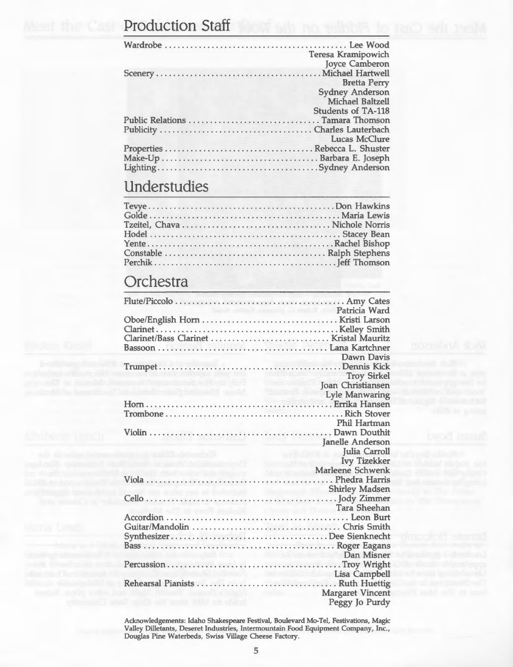## **Production Staff**

|                                  | Teresa Kramipowich        |
|----------------------------------|---------------------------|
|                                  | Joyce Camberon            |
|                                  |                           |
|                                  | <b>Bretta Perry</b>       |
|                                  | <b>Sydney Anderson</b>    |
|                                  | Michael Baltzell          |
|                                  | <b>Students of TA-118</b> |
| Public Relations  Tamara Thomson |                           |
|                                  |                           |
| ra de recen                      | Lucas McClure             |
|                                  |                           |
|                                  |                           |
|                                  |                           |
|                                  |                           |

## **Understudies**

## **Orchestra**

|                                        | a Patricia Ward                                                |
|----------------------------------------|----------------------------------------------------------------|
|                                        |                                                                |
|                                        |                                                                |
|                                        |                                                                |
|                                        |                                                                |
|                                        | Dawn Davis                                                     |
|                                        |                                                                |
|                                        | <b>Troy Sirkel</b>                                             |
|                                        | a provinci<br>Joan Christiansen                                |
| shimila Arbeitining Anida Market Allis | <b>Lyle Manwaring</b>                                          |
|                                        |                                                                |
|                                        |                                                                |
|                                        | Phil Hartman                                                   |
|                                        |                                                                |
|                                        | Janelle Anderson                                               |
|                                        | Julia Carroll                                                  |
|                                        |                                                                |
|                                        | <b>Contractor</b><br><b>Ivy Tizekker</b>                       |
| الافترانيو.<br>د مانا انسود ا          |                                                                |
|                                        |                                                                |
|                                        |                                                                |
|                                        |                                                                |
|                                        |                                                                |
|                                        |                                                                |
|                                        |                                                                |
|                                        |                                                                |
|                                        |                                                                |
|                                        | Dan Misner                                                     |
|                                        |                                                                |
|                                        | Lisa Campbell                                                  |
|                                        |                                                                |
| that's said most difful pay against    | <b>Margaret Vincent</b><br>dure in the state<br>Peggy Jo Purdy |

Acknowledgements: Idaho Shakespeare Festival, Boulevard Mo-Tel, Festivations, Magic Valley Dilletants, Deseret Industries, Intermountain Food Equipment Company, Inc., Douglas Pine Waterbeds, Swiss Village Cheese Factory.

5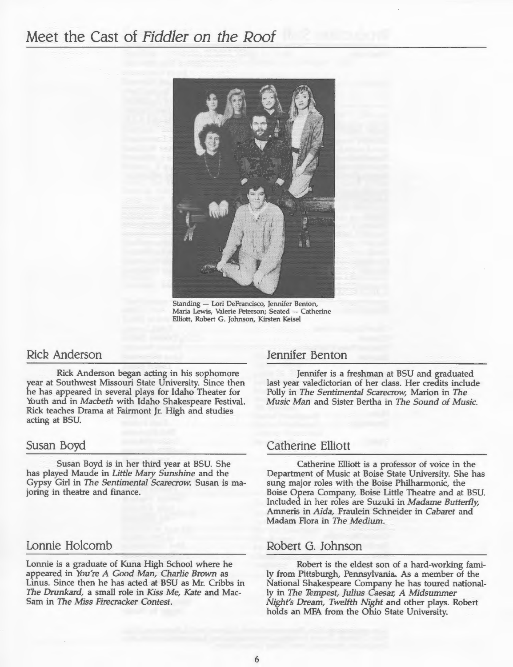## Meet the Cast of Fiddler on the Roof



Standing - Lori DeFrancisco, Jennifer Benton, Maria Lewis, Valerie Peterson; Seated - Catherine Elliott, Robert G. Johnson, Kirsten Keisel

#### Rick Anderson

Rick Anderson began acting in his sophomore year at Southwest Missouri State University. Since then he has appeared in several plays for Idaho Theater for Youth and in *Macbeth* with Idaho Shakespeare Festival. Rick teaches Drama at Fairmont Jr. High and studies acting at BSU.

#### Susan Boyd

Susan Boyd is in her third year at BSU. She has played Maude in *Little Mary Sunshine* and the Gypsy Girl in The *Sentimental Scarecrow.* Susan is majoring in theatre and finance.

#### Lonnie Holcomb

Lonnie is a graduate of Kuna High School where he appeared in *You're A Good Man, Charlie Brown* as Linus. Since then he has acted at BSU as Mr. Cribbs in *The Drunkard,* a small role in *Kiss Me, Kate* and Mac-Sam in The *Miss Firecracker Contest.* 

#### Jennifer Benton

Jennifer is a freshman at BSU and graduated last year valedictorian of her class. Her credits include Polly in The *Sentimental Scarecrow,* Marion in *The Music Man* and Sister Bertha in *The Sound of Music.* 

#### Catherine Elliott

Catherine Elliott is a professor of voice in the Department of Music at Boise State University. She has sung major roles with the Boise Philharmonic, the Boise Opera Company, Boise Little Theatre and at BSU. Included in her roles are Suzuki in *Madame Butterfly,*  Amneris in *Aida,* Fraulein Schneider in *Cabaret* and Madam Flora in *The Medium.* 

#### Robert G. Johnson

Robert is the eldest son of a hard-working family from Pittsburgh, Pennsylvania. As a member of the National Shakespeare Company he has toured nationally in The *Tempest, julius Caesar, A Midsummer Night's Dream, TweHth Night* and other plays. Robert holds an MFA from the Ohio State University.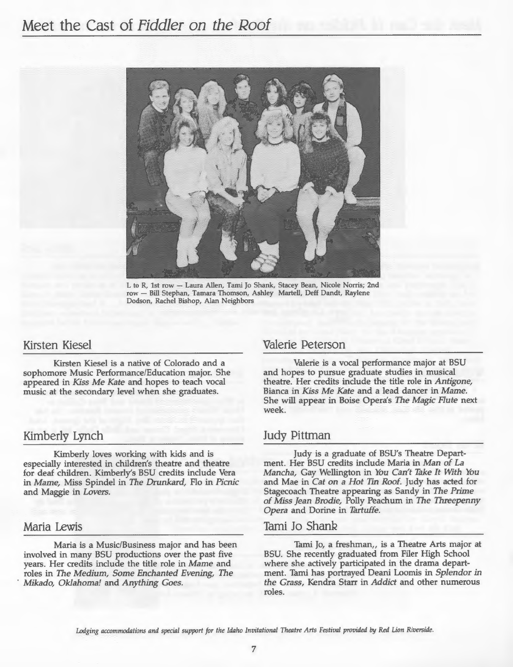

L to R, 1st row - Laura Allen, Tami Jo Shank, Stacey Bean, Nicole Norris; 2nd row - Bill Stephan, Tamara Thomson, Ashley Martell, Deff Dandt, Raylene Dodson, Rachel Bishop, Alan Neighbors

#### Kirsten Kiesel

Kirsten Kiesel is a native of Colorado and <sup>a</sup> sophomore Music Performance/Education major. She appeared in *Kiss Me Kate* and hopes to teach vocal music at the secondary level when she graduates.

#### Kimberly Lynch

Kimberly loves working with kids and is especially interested in children's theatre and theatre for deaf children. Kimberly's BSU credits include Vera in *Marne,* Miss Spindel in The *Drunkard,* Flo in *Picnic*  and Maggie in *Lovers.* 

#### Maria Lewis

Maria is a Music/Business major and has been involved in many BSU productions over the past five years. Her credits include the title role in *Marne* and roles in The *Medium, Some Enchanted Evening,* The · *Mikado, Oklahoma!* and *Anything Goes.* 

#### Valerie Peterson

Valerie is a vocal performance major at BSU and hopes to pursue graduate studies in musical theatre. Her credits include the title role in *Antigone,*  Bianca in *Kiss Me Kate* and a lead dancer in *Marne.*  She will appear in Boise Opera's The *Magic Flute* next week.

#### Judy Pittman

Judy is a graduate of BSU's Theatre Department. Her BSU credits include Maria in Man *of La Mancha,* Gay Wellington in *You* Can't *Take It With You*  and Mae in *Cat* on *a Hot Tin Roof.* Judy has acted for Stagecoach Theatre appearing as Sandy in The *Prime of Miss jean Brodie,* Polly Peachum in The *Threepenny Opera* and Dorine in *Tartuffe.* 

#### Tami Jo Shank

Tami Jo, a freshman, is a Theatre Arts major at BSU. She recently graduated from Filer High School where she actively participated in the drama department. Tami has portrayed Deani Loomis in *Splendor* in *the Grass,* Kendra Starr in *Addict* and other numerous roles.

Lodging accommodations and special support for the Idaho Invitational Theatre Arts Festival provided by Red Lion Riverside.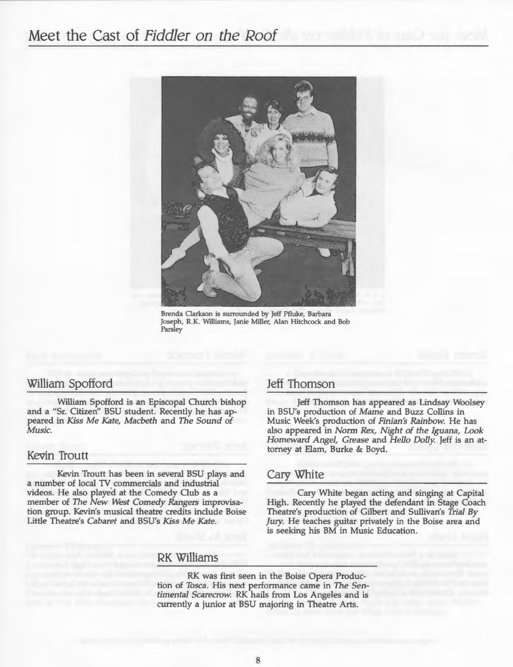## Meet the Cast of *Fiddler* on *the* Roof



Brenda Clarkson is surrounded by Jeff Pfluke, Barbara Joseph, R.K. Williams, Janie Miller, Alan Hitchcock and Bob Parsley

#### William Spofford

William Spofford is an Episcopal Church bishop and a "Sr. Citizen'' BSU student. Recently he has appeared in *Kiss Me Kate, Macbeth* and *The Sound of Music.* 

#### Kevin Troutt

Kevin Troutt has been in several BSU plays and a number of local TV commercials and industrial videos. He also played at the Comedy Club as a member of The *New West Comedy Rangers* improvisation group. Kevin's musical theatre credits include Boise Little Theatre's *Cabaret* and BSU's *Kiss Me Kate.* 

#### Jeff Thomson

Jeff Thomson has appeared as Lindsay Woolsey in BSU's production of *Marne* and Buzz Collins in Music Week's production of *Finian's Rainbow.* He has also appeared in *Norm Rex, Night of the Iguana, Look Homeward Angel, Grease* and *Hello Dolly* Jeff is an attorney at Elam, Burke & Boyd.

#### Cary White

Cary White began acting and singing at Capital High. Recently he played the defendant in Stage Coach Theatre's production of Gilbert and Sullivan's *Trial By fury.* He teaches guitar privately in the Boise area and is seeking his BM in Music Education.

#### RK Williams

RK was first seen in the Boise Opera Production of *Tasca .* His next performance came in *The Sentimental Scarecrow.* RK hails from Los Angeles and is currently a junior at BSU majoring in Theatre Arts.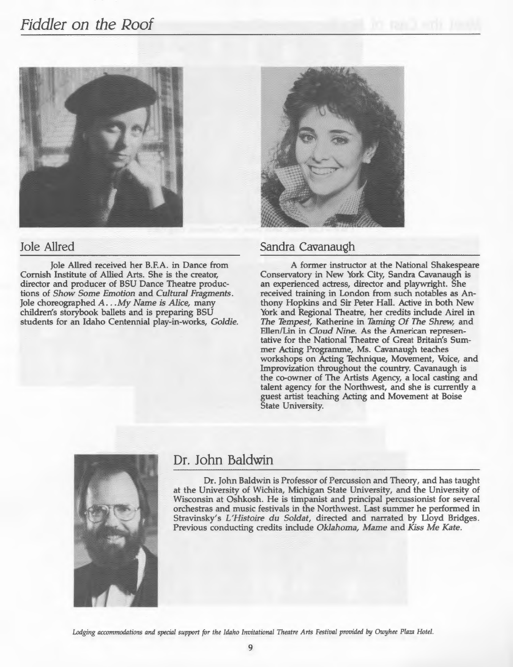## *Fiddler* on *the* Roof



#### Jole Allred

Jole Allred received her B.F.A. in Dance from Cornish Institute of Allied Arts. She is the creator, director and producer of BSU Dance Theatre productions of *Show Some Emotion* and *Cultural Fragments.*  Jole choreographed *A .* .. *My Name is Alice,* many children's storybook ballets and is preparing BSU students for an Idaho Centennial play-in-works, *Goldie.* 



#### Sandra Cavanaugh

A former instructor at the National Shakespeare Conservatory in New York City, Sandra Cavanaugh is an experienced actress, director and playwright. She received training in London from such notables as Anthony Hopkins and Sir Peter Hall. Active in both New York and Regional Theatre, her credits include Airel in The *Tempest,* Katherine in *Taming Of* The *Shrew,* and Ellen/Lin in *Cloud Nine.* As the American representative for the National Theatre of Great Britain's Summer Acting Programme, Ms. Cavanaugh teaches workshops on Acting Technique, Movement, Voice, and Improvization throughout the country. Cavanaugh is the co-owner of The Artists Agency, a local casting and talent agency for the Northwest, and she is currently a guest artist teaching Acting and Movement at Boise State University.



### Dr. John Baldwin

Dr. John Baldwin is Professor of Percussion and Theory, and has taught at the University of Wichita, Michigan State University, and the University of Wisconsin at Oshkosh. He is timpanist and principal percussionist for several orchestras and music festivals in the Northwest. Last summer he performed in Stravinsky's *L'Histoire du Soldat,* directed and narrated by Lloyd Bridges. Previous conducting credits include *Oklahoma, Mame and Kiss Me Kate.* 

Lodging accommodations and special support for the Idaho Invitational Theatre Arts Festival provided by Owyhee Plaza Hotel.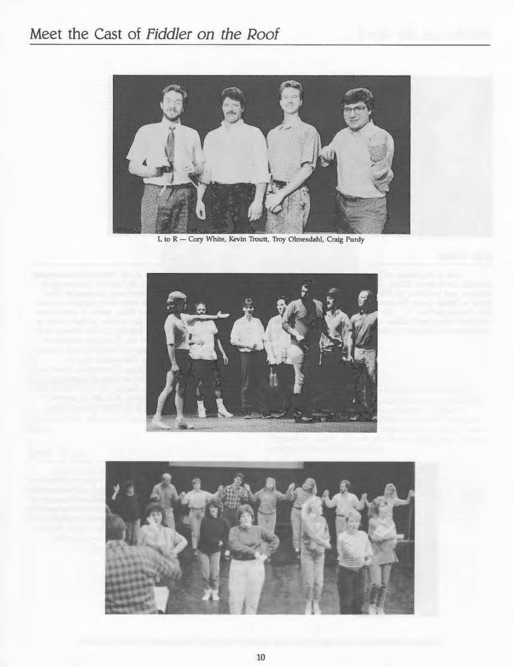## **Meet the Cast of Fiddler on the Roof**



L to R - Cory White, Kevin Troutt, Troy Olmesdahl, Craig Purdy